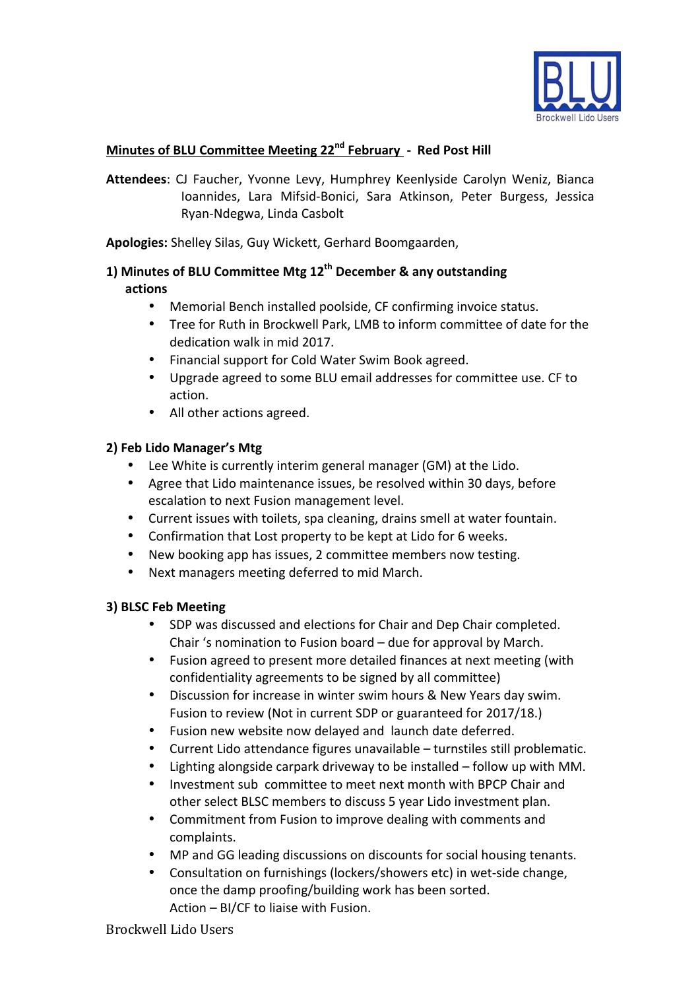

# **Minutes of BLU Committee Meeting 22nd February - Red Post Hill**

Attendees: CJ Faucher, Yvonne Levy, Humphrey Keenlyside Carolyn Weniz, Bianca Ioannides, Lara Mifsid-Bonici, Sara Atkinson, Peter Burgess, Jessica Ryan-Ndegwa, Linda Casbolt

Apologies: Shelley Silas, Guy Wickett, Gerhard Boomgaarden,

### 1) Minutes of BLU Committee Mtg 12<sup>th</sup> December & any outstanding actions

- Memorial Bench installed poolside, CF confirming invoice status.
- Tree for Ruth in Brockwell Park, LMB to inform committee of date for the dedication walk in mid 2017.
- Financial support for Cold Water Swim Book agreed.
- Upgrade agreed to some BLU email addresses for committee use. CF to action.
- All other actions agreed.

#### **2) Feb Lido Manager's Mtg**

- Lee White is currently interim general manager (GM) at the Lido.
- Agree that Lido maintenance issues, be resolved within 30 days, before escalation to next Fusion management level.
- Current issues with toilets, spa cleaning, drains smell at water fountain.
- Confirmation that Lost property to be kept at Lido for 6 weeks.
- New booking app has issues, 2 committee members now testing.
- Next managers meeting deferred to mid March.

#### **3) BLSC Feb Meeting**

- SDP was discussed and elections for Chair and Dep Chair completed. Chair 's nomination to Fusion board  $-$  due for approval by March.
- Fusion agreed to present more detailed finances at next meeting (with confidentiality agreements to be signed by all committee)
- Discussion for increase in winter swim hours & New Years day swim. Fusion to review (Not in current SDP or guaranteed for 2017/18.)
- Fusion new website now delayed and launch date deferred.
- Current Lido attendance figures unavailable turnstiles still problematic.
- Lighting alongside carpark driveway to be installed  $-$  follow up with MM.
- Investment sub committee to meet next month with BPCP Chair and other select BLSC members to discuss 5 year Lido investment plan.
- Commitment from Fusion to improve dealing with comments and complaints.
- MP and GG leading discussions on discounts for social housing tenants.
- Consultation on furnishings (lockers/showers etc) in wet-side change, once the damp proofing/building work has been sorted. Action  $-$  BI/CF to liaise with Fusion.

Brockwell Lido Users